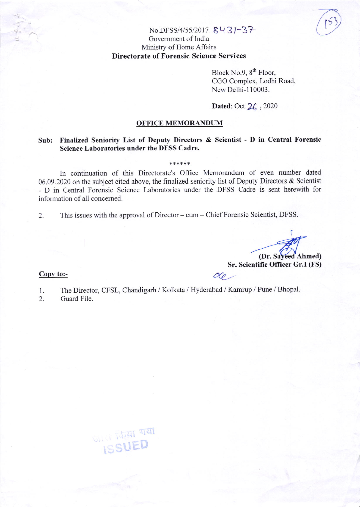## $No.DFSS/4/55/2017 8431 - 37$ Govemment of India Ministry of Home Affairs Directorate of Forensic Science Services

Block No.9,  $8<sup>th</sup>$  Floor, CGO Complex, Lodhi Road, New Delhi-110003.

 $(53)$ 

## Dated: Oct. 26, 2020

## OFFICE MEMORANDUM

## Sub: Finalized Seniority List of Deputy Directors & Scientist - D in Central Forensic Science Laboratories under the DFSS Cadre.

\*\*\*\*\*\*

In continuation of this Directorate's Office Memorandum of even number dated 06.09.2020 on the subject cited above, the finalized seniority list of Deputy Directors & Scientist - D in Central Forensic Science Laboratories under the DFSS Cadre is sent herewith for information of all concemed.

2. This issues with the approval of Director – cum – Chief Forensic Scientist, DFSS.

I (Dr. Sayeed Ahmed) Sr. Scientific Officer Gr.I (FS)

Copy to:-

The Director, CFSL, Chandigarh / Kolkata / Hyderabad / Kamrup / Pune / Bhopal. l.

 $O(\rho)$ 

Guard File. 2.

जायाँ कियाँ गयाँ<br>ISSUED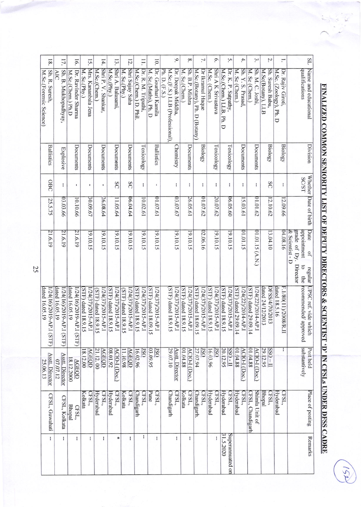| 18.                                            | 17.                                        | 16.                                        | 15.                                      | 14.                                       | 13.                                      | 12.                                       | $\Xi$                                       | 10 <sub>1</sub>                             | $\circ$                                                                | $\infty$                                 | 7.                                                | $\circ$                                  | Š.                                                   | 4.                                        | $\mathfrak{D}$                            | Z.                                    | H.                                          | SL                                                                                                           |
|------------------------------------------------|--------------------------------------------|--------------------------------------------|------------------------------------------|-------------------------------------------|------------------------------------------|-------------------------------------------|---------------------------------------------|---------------------------------------------|------------------------------------------------------------------------|------------------------------------------|---------------------------------------------------|------------------------------------------|------------------------------------------------------|-------------------------------------------|-------------------------------------------|---------------------------------------|---------------------------------------------|--------------------------------------------------------------------------------------------------------------|
| Sh. R. Suresh,<br>M.Sc.(Forensic Science)      | Sh. B. Mukhopadhyay<br>AIC                 | Dr. Ravinder Sharma<br>M.Sc.(Chem.) Ph.D   | Mrs. Kananbala Jena<br>M. Sc.(Phy.)      | Shri P. V. Shankar,<br>M.Sc.(Chem.)       | Shri A. Balasami,<br>M.Sc.(Phy.)         | Shri Sujay Saha<br>M. Sc.(Phy.)           | M.Sc.(Chem.) D. Phil<br>Dr. R. M. Tripathi, | Dr. Gourhari Kamila<br>M. Sc.(Maths), Ph. D | Dr. Deepak Middha,<br>Ph. D. (F.S.)<br>M.Sc.(F.S.) LLB (Professional), | Sh. B.P. Mishra<br>M. Sc.(Chem.)         | Dr Ikramul Haque<br>M.Sc.(Botany), Ph. D (Botany) | Shri A K Srivastava<br>M.Sc. (Chem.)     | M.Sc.(Chem.) LLB,<br>Dr. K. P. Satpathy,<br>Ph.<br>þ | Sh. Y. S. Prasad,<br>M. Sc (Chem.)        | Sh. M. C. Joshi,<br>M. Sc (Chem.)         | Sh. Suresh Babu,<br>M.Sc(Botany), LLB | Dr. Rajiv Giroti,<br>M.Sc. (Zoology), Ph. D | Name and educational<br>qualifications                                                                       |
| <b>Ballistics</b>                              | Explosive                                  | Documents                                  | Documents                                | Documents                                 | Documents                                | Documents                                 | Toxicology                                  | <b>Ballistics</b>                           | Chemistry                                                              | Documents                                | <b>Biology</b>                                    | Toxicology                               | Toxicology                                           | Documents                                 | Documents                                 | <b>Biology</b>                        | <b>Biology</b>                              | Division                                                                                                     |
| OBC                                            | ł                                          | ٠                                          |                                          | ٠                                         | SC                                       | SC                                        | ł                                           | $\mathbf i$                                 | ł                                                                      | Ŧ                                        | ł                                                 | Ŧ                                        | ÷                                                    | ł                                         | ł                                         | SC                                    | ł                                           | <b>SC/ST</b>                                                                                                 |
| 25.5.75                                        | 03.03.66                                   | 10.10.66                                   | 30.09.67                                 | 26.08.64                                  | 11.05.64                                 | 06.04.64                                  | 10.02.61                                    | 01.07.61                                    | 03.07.67                                                               | 26.05.61                                 | 01.07.62                                          | 20.07.62                                 | 06.05.60                                             | 15.03.61                                  | 01.01.62                                  | 12.10.62                              | 12.09.66                                    | Whether Date of birth                                                                                        |
| 21.6.19                                        | 21.6.19                                    | 21.6.19                                    | 19.10.15                                 | 19.10.15                                  | 19.10.15                                 | 19.10.15                                  | 19.10.15                                    | 19.10.15                                    | 19.10.15                                                               | 19.10.15                                 | 02.06.16                                          | 19.10.15                                 | 19.10.15                                             | 01.01.15                                  | 01.01.15 (A.N.)                           | 13.04.10                              | 04.08.16                                    | Date<br>grade of Dy.<br>appointment<br>& Scientist - D<br>QÍ<br>Director<br>$\overline{c}$<br>regular<br>the |
| dated 16.05.19<br>I/24(16)/2019-A<br>P.I (STF) | dated 16.05.19<br>1/24(16)/2019-AP.I (STF) | dated 16.05.19<br>1/24(16)/2019-AP.I (STF) | 1/24(37)/2015-AP.I<br>STF) dated 18.9.15 | 1/24(37)/2015-AP.I<br>(STF) dated 18.9.15 | 1/24(37)/2015-AP.I<br>STF) dated 18.9.15 | 1/24(37)/2015-AP.I<br>(STF) dated 18.9.15 | STF) dated 18.9.15<br>/24(37)/2015-AP.I     | 1/24(37)/2015-AP.I<br>STF) dated 18.09.15   | (STF) dated 18.9.15<br>1/24(37)/2015-AP.I                              | 1/24(37)/2015-AP.I<br>STF) dated 18.9.15 | 1/24(37)/2015-AP.I<br>STF) dated 18.09.15         | STF) dated 18.9.15<br>1/24(37)/2015-AP.I | STF) dated 18.9.15<br>/24(37)/2015-AP.I              | STF) dated 29.09.14<br>1/24(22)/2014-AP.I | 1/24(22)/2014-AP.I<br>STF) dated 29.09.14 | dated 24/12/2013<br>DFSS/4/70/2013    | dated 18.5.16<br>F.1/80(11)/2008/R.II       | UPSC ref. vide which<br>recommended/approved                                                                 |
| Asstt. Director<br>25.06.13                    | Asstt. Director<br>07.07.12                | 8.12.2000<br><b>AGEQD</b>                  | <b>AGEOD</b><br>18.12.00                 | 21.12.00<br><b>AGEQD</b>                  | 08.01.92<br><b>ACIO-I (Doc.)</b>         | <b>AGEQD</b><br>11.10.98                  | 16.02.96<br>$\overline{\text{ISO}}$         | 03.09.95<br>$\overline{\text{180}}$         | 29.07.10<br>Asstt. Director                                            | 01.04.88<br>ACIO-I (Doc.)                | 27.07.94<br>$\overline{S}0$                       | 16.03.96<br>$\overline{S}0$              | $\frac{0.1}{10}$<br>20.12.95                         | 01.04.88<br><b>ACIO-I</b> (Doc.)          | 01.04.88<br>ACIO-I (Doc.)                 | $1 - 0$ SS<br>29.12.95                | Ł                                           | substantively<br>Post held                                                                                   |
| CFSL, Guwahati                                 | CFSL, Kolkata                              | <b>Bhopal</b><br>CFSL,                     | Kolkata<br>CFSL,                         | Hyderabad<br>CFSL,                        | Hyderabad<br>CFSL,                       | CFSL,<br>Kolkata                          | Chandigarh<br>CFSL,                         | Pune<br>CFSL,                               | CFSL,<br>Chandigarh                                                    | Kolkata<br>CFSL,                         | Chandigarh.<br>CFSL,                              | Hyderabad<br>CFSL,                       | Hyderabad<br>CFSL,                                   | CFSL,<br>Hyderabad                        | Shimla Unit of<br>CFSL, Chandigarh        | Bhopal<br>CFSL,                       | Hyderabad<br>CFSL,                          | Place of posting                                                                                             |
| Ŧ                                              | H                                          | ŧ                                          | ł                                        | ł                                         | ₩                                        | ł                                         | ł                                           | ł                                           | ł                                                                      | ł                                        |                                                   | ł                                        | 31.5.2020<br>Superannuated or                        |                                           |                                           |                                       |                                             | Remarks                                                                                                      |

FINALIZED COMMON SENIORITY LIST OF DEPUTY DIRECTORS & SCIENTIST 'D' IN CFSLs UNDER DFSS CADRE

25